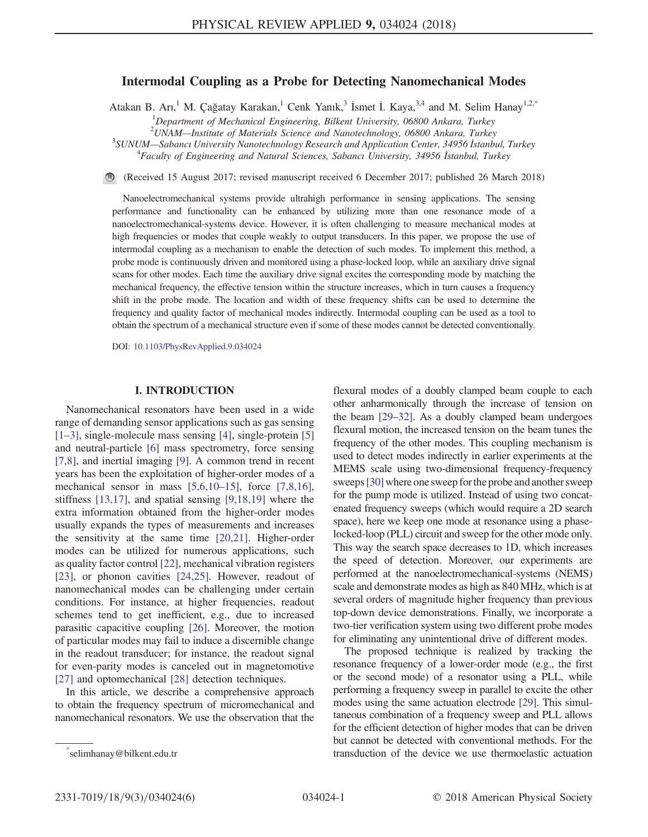# Intermodal Coupling as a Probe for Detecting Nanomechanical Modes

<span id="page-0-1"></span>Atakan B. Arı,<sup>1</sup> M. Çağatay Karakan,<sup>1</sup> Cenk Yanık,<sup>3</sup> İsmet İ. Kaya,<sup>3,4</sup> and M. Selim Hanay<sup>1,[2,\\*](#page-0-0)</sup>

<sup>1</sup>Department of Mechanical Engineering, Bilkent University, 06800 Ankara, Turkey

<sup>2</sup> UNAM—Institute of Materials Science and Nanotechnology, 06800 Ankara, Turkey<sup>3</sup> SUNUM, Schana University Nanotechnology Pessarch and Application Center 34056 Istanb

 $3$ SUNUM—Sabancı University Nanotechnology Research and Application Center, 34956 İstanbul, Turkey

Faculty of Engineering and Natural Sciences, Sabancı University, 34956 İstanbul, Turkey

(Received 15 August 2017; revised manuscript received 6 December 2017; published 26 March 2018)

Nanoelectromechanical systems provide ultrahigh performance in sensing applications. The sensing performance and functionality can be enhanced by utilizing more than one resonance mode of a nanoelectromechanical-systems device. However, it is often challenging to measure mechanical modes at high frequencies or modes that couple weakly to output transducers. In this paper, we propose the use of intermodal coupling as a mechanism to enable the detection of such modes. To implement this method, a probe mode is continuously driven and monitored using a phase-locked loop, while an auxiliary drive signal scans for other modes. Each time the auxiliary drive signal excites the corresponding mode by matching the mechanical frequency, the effective tension within the structure increases, which in turn causes a frequency shift in the probe mode. The location and width of these frequency shifts can be used to determine the frequency and quality factor of mechanical modes indirectly. Intermodal coupling can be used as a tool to obtain the spectrum of a mechanical structure even if some of these modes cannot be detected conventionally.

DOI: [10.1103/PhysRevApplied.9.034024](https://doi.org/10.1103/PhysRevApplied.9.034024)

# I. INTRODUCTION

Nanomechanical resonators have been used in a wide range of demanding sensor applications such as gas sensing [\[1](#page-4-0)–3], single-molecule mass sensing [\[4\]](#page-4-1), single-protein [\[5\]](#page-4-2) and neutral-particle [\[6\]](#page-4-3) mass spectrometry, force sensing [\[7,8\],](#page-4-4) and inertial imaging [\[9\].](#page-4-5) A common trend in recent years has been the exploitation of higher-order modes of a mechanical sensor in mass  $[5,6,10-15]$  $[5,6,10-15]$ , force  $[7,8,16]$ , stiffness [\[13,17\],](#page-4-6) and spatial sensing [\[9,18,19\]](#page-4-5) where the extra information obtained from the higher-order modes usually expands the types of measurements and increases the sensitivity at the same time [\[20,21\]](#page-4-7). Higher-order modes can be utilized for numerous applications, such as quality factor control [\[22\],](#page-4-8) mechanical vibration registers [\[23\]](#page-4-9), or phonon cavities [\[24,25\]](#page-5-0). However, readout of nanomechanical modes can be challenging under certain conditions. For instance, at higher frequencies, readout schemes tend to get inefficient, e.g., due to increased parasitic capacitive coupling [\[26\].](#page-5-1) Moreover, the motion of particular modes may fail to induce a discernible change in the readout transducer; for instance, the readout signal for even-parity modes is canceled out in magnetomotive [\[27\]](#page-5-2) and optomechanical [\[28\]](#page-5-3) detection techniques.

In this article, we describe a comprehensive approach to obtain the frequency spectrum of micromechanical and nanomechanical resonators. We use the observation that the flexural modes of a doubly clamped beam couple to each other anharmonically through the increase of tension on the beam [29–[32\].](#page-5-4) As a doubly clamped beam undergoes flexural motion, the increased tension on the beam tunes the frequency of the other modes. This coupling mechanism is used to detect modes indirectly in earlier experiments at the MEMS scale using two-dimensional frequency-frequency sweeps [\[30\]](#page-5-5) where one sweep for the probe and another sweep for the pump mode is utilized. Instead of using two concatenated frequency sweeps (which would require a 2D search space), here we keep one mode at resonance using a phaselocked-loop (PLL) circuit and sweep for the other mode only. This way the search space decreases to 1D, which increases the speed of detection. Moreover, our experiments are performed at the nanoelectromechanical-systems (NEMS) scale and demonstrate modes as high as 840 MHz, which is at several orders of magnitude higher frequency than previous top-down device demonstrations. Finally, we incorporate a two-tier verification system using two different probe modes for eliminating any unintentional drive of different modes.

The proposed technique is realized by tracking the resonance frequency of a lower-order mode (e.g., the first or the second mode) of a resonator using a PLL, while performing a frequency sweep in parallel to excite the other modes using the same actuation electrode [\[29\]](#page-5-4). This simultaneous combination of a frequency sweep and PLL allows for the efficient detection of higher modes that can be driven but cannot be detected with conventional methods. For the transduction of the device we use thermoelastic actuation [\\*](#page-0-1)

<span id="page-0-0"></span>selimhanay@bilkent.edu.tr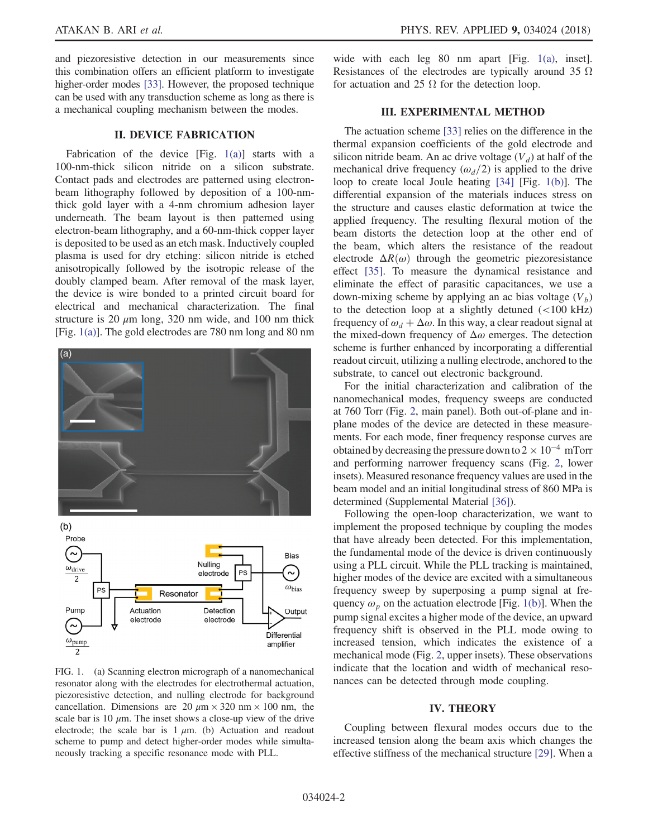and piezoresistive detection in our measurements since this combination offers an efficient platform to investigate higher-order modes [\[33\].](#page-5-6) However, the proposed technique can be used with any transduction scheme as long as there is a mechanical coupling mechanism between the modes.

# II. DEVICE FABRICATION

Fabrication of the device [Fig.  $1(a)$ ] starts with a 100-nm-thick silicon nitride on a silicon substrate. Contact pads and electrodes are patterned using electronbeam lithography followed by deposition of a 100-nmthick gold layer with a 4-nm chromium adhesion layer underneath. The beam layout is then patterned using electron-beam lithography, and a 60-nm-thick copper layer is deposited to be used as an etch mask. Inductively coupled plasma is used for dry etching: silicon nitride is etched anisotropically followed by the isotropic release of the doubly clamped beam. After removal of the mask layer, the device is wire bonded to a printed circuit board for electrical and mechanical characterization. The final structure is 20  $\mu$ m long, 320 nm wide, and 100 nm thick [Fig. [1\(a\)\]](#page-1-0). The gold electrodes are 780 nm long and 80 nm

<span id="page-1-0"></span>

FIG. 1. (a) Scanning electron micrograph of a nanomechanical resonator along with the electrodes for electrothermal actuation, piezoresistive detection, and nulling electrode for background cancellation. Dimensions are 20  $\mu$ m × 320 nm × 100 nm, the scale bar is 10  $\mu$ m. The inset shows a close-up view of the drive electrode; the scale bar is  $1 \mu m$ . (b) Actuation and readout scheme to pump and detect higher-order modes while simultaneously tracking a specific resonance mode with PLL.

wide with each leg 80 nm apart [Fig. [1\(a\),](#page-1-0) inset]. Resistances of the electrodes are typically around 35  $\Omega$ for actuation and 25  $\Omega$  for the detection loop.

# III. EXPERIMENTAL METHOD

The actuation scheme [\[33\]](#page-5-6) relies on the difference in the thermal expansion coefficients of the gold electrode and silicon nitride beam. An ac drive voltage  $(V_d)$  at half of the mechanical drive frequency  $(\omega_d/2)$  is applied to the drive loop to create local Joule heating [\[34\]](#page-5-7) [Fig. [1\(b\)\]](#page-1-0). The differential expansion of the materials induces stress on the structure and causes elastic deformation at twice the applied frequency. The resulting flexural motion of the beam distorts the detection loop at the other end of the beam, which alters the resistance of the readout electrode  $\Delta R(\omega)$  through the geometric piezoresistance effect [\[35\].](#page-5-8) To measure the dynamical resistance and eliminate the effect of parasitic capacitances, we use a down-mixing scheme by applying an ac bias voltage  $(V_b)$ to the detection loop at a slightly detuned  $\left($  <100 kHz) frequency of  $\omega_d + \Delta \omega$ . In this way, a clear readout signal at the mixed-down frequency of  $\Delta\omega$  emerges. The detection scheme is further enhanced by incorporating a differential readout circuit, utilizing a nulling electrode, anchored to the substrate, to cancel out electronic background.

For the initial characterization and calibration of the nanomechanical modes, frequency sweeps are conducted at 760 Torr (Fig. [2,](#page-2-0) main panel). Both out-of-plane and inplane modes of the device are detected in these measurements. For each mode, finer frequency response curves are obtained by decreasing the pressure down to  $2 \times 10^{-4}$  mTorr and performing narrower frequency scans (Fig. [2,](#page-2-0) lower insets). Measured resonance frequency values are used in the beam model and an initial longitudinal stress of 860 MPa is determined (Supplemental Material [\[36\]\)](#page-5-9).

Following the open-loop characterization, we want to implement the proposed technique by coupling the modes that have already been detected. For this implementation, the fundamental mode of the device is driven continuously using a PLL circuit. While the PLL tracking is maintained, higher modes of the device are excited with a simultaneous frequency sweep by superposing a pump signal at frequency  $\omega_p$  on the actuation electrode [Fig. [1\(b\)](#page-1-0)]. When the pump signal excites a higher mode of the device, an upward frequency shift is observed in the PLL mode owing to increased tension, which indicates the existence of a mechanical mode (Fig. [2,](#page-2-0) upper insets). These observations indicate that the location and width of mechanical resonances can be detected through mode coupling.

# IV. THEORY

Coupling between flexural modes occurs due to the increased tension along the beam axis which changes the effective stiffness of the mechanical structure [\[29\].](#page-5-4) When a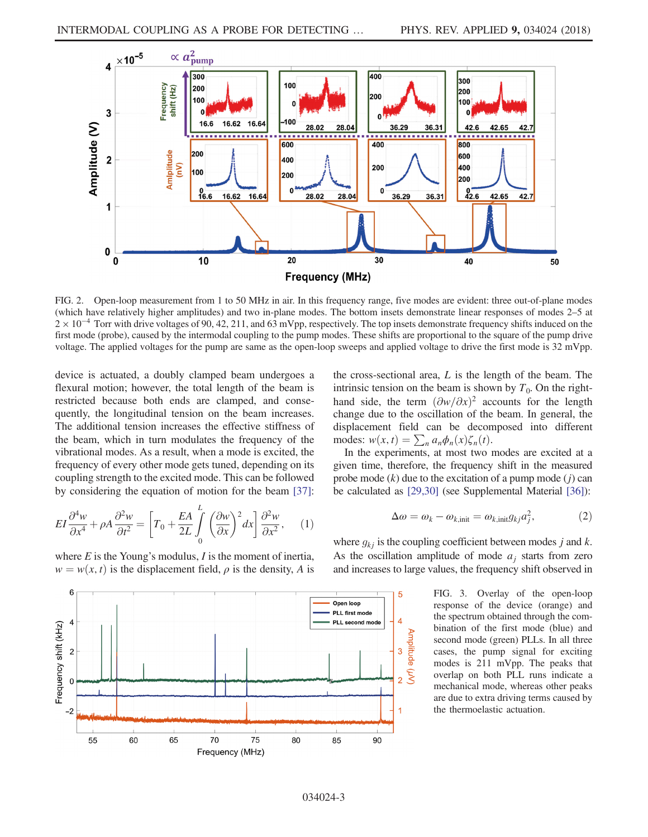<span id="page-2-0"></span>

FIG. 2. Open-loop measurement from 1 to 50 MHz in air. In this frequency range, five modes are evident: three out-of-plane modes (which have relatively higher amplitudes) and two in-plane modes. The bottom insets demonstrate linear responses of modes 2–5 at  $2 \times 10^{-4}$  Torr with drive voltages of 90, 42, 211, and 63 mVpp, respectively. The top insets demonstrate frequency shifts induced on the first mode (probe), caused by the intermodal coupling to the pump modes. These shifts are proportional to the square of the pump drive voltage. The applied voltages for the pump are same as the open-loop sweeps and applied voltage to drive the first mode is 32 mVpp.

device is actuated, a doubly clamped beam undergoes a flexural motion; however, the total length of the beam is restricted because both ends are clamped, and consequently, the longitudinal tension on the beam increases. The additional tension increases the effective stiffness of the beam, which in turn modulates the frequency of the vibrational modes. As a result, when a mode is excited, the frequency of every other mode gets tuned, depending on its coupling strength to the excited mode. This can be followed by considering the equation of motion for the beam [\[37\]](#page-5-10):

$$
EI\frac{\partial^4 w}{\partial x^4} + \rho A \frac{\partial^2 w}{\partial t^2} = \left[T_0 + \frac{EA}{2L} \int_0^L \left(\frac{\partial w}{\partial x}\right)^2 dx\right] \frac{\partial^2 w}{\partial x^2},\qquad(1)
$$

where  $E$  is the Young's modulus,  $I$  is the moment of inertia,  $w = w(x, t)$  is the displacement field,  $\rho$  is the density, A is the cross-sectional area,  $L$  is the length of the beam. The intrinsic tension on the beam is shown by  $T_0$ . On the righthand side, the term  $(\partial w/\partial x)^2$  accounts for the length change due to the oscillation of the beam. In general, the displacement field can be decomposed into different modes:  $w(x, t) = \sum_n a_n \phi_n(x) \zeta_n(t)$ .

In the experiments, at most two modes are excited at a given time, therefore, the frequency shift in the measured probe mode  $(k)$  due to the excitation of a pump mode  $(j)$  can be calculated as [\[29,30\]](#page-5-4) (see Supplemental Material [\[36\]](#page-5-9)):

$$
\Delta \omega = \omega_k - \omega_{k,\text{init}} = \omega_{k,\text{init}} g_{kj} a_j^2, \tag{2}
$$

where  $g_{ki}$  is the coupling coefficient between modes j and k. As the oscillation amplitude of mode  $a_i$  starts from zero and increases to large values, the frequency shift observed in

> FIG. 3. Overlay of the open-loop response of the device (orange) and the spectrum obtained through the combination of the first mode (blue) and second mode (green) PLLs. In all three cases, the pump signal for exciting modes is 211 mVpp. The peaks that overlap on both PLL runs indicate a mechanical mode, whereas other peaks are due to extra driving terms caused by the thermoelastic actuation.

<span id="page-2-1"></span>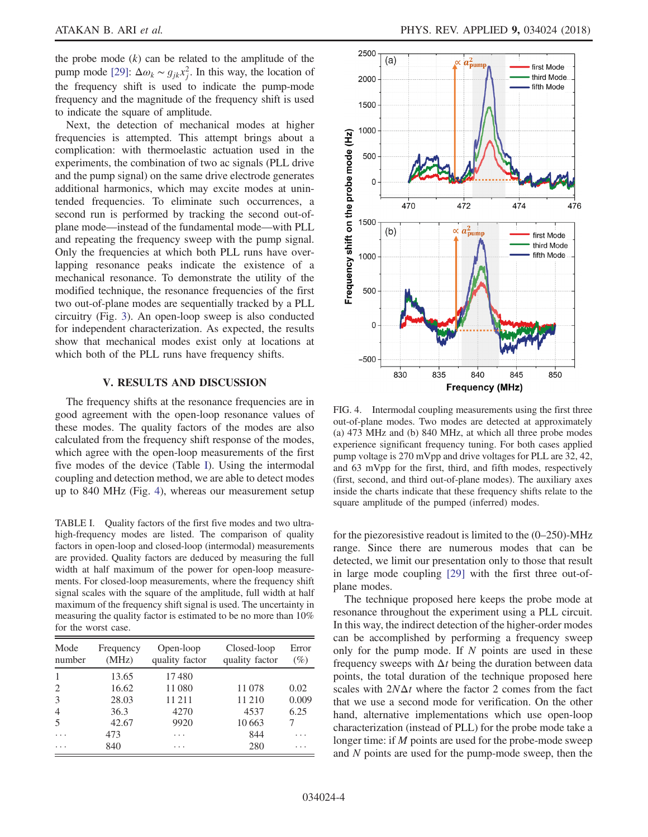the probe mode  $(k)$  can be related to the amplitude of the pump mode [\[29\]:](#page-5-4)  $\Delta \omega_k \sim g_{jk} x_j^2$ . In this way, the location of the frequency shift is used to indicate the pump-mode frequency and the magnitude of the frequency shift is used to indicate the square of amplitude.

Next, the detection of mechanical modes at higher frequencies is attempted. This attempt brings about a complication: with thermoelastic actuation used in the experiments, the combination of two ac signals (PLL drive and the pump signal) on the same drive electrode generates additional harmonics, which may excite modes at unintended frequencies. To eliminate such occurrences, a second run is performed by tracking the second out-ofplane mode—instead of the fundamental mode—with PLL and repeating the frequency sweep with the pump signal. Only the frequencies at which both PLL runs have overlapping resonance peaks indicate the existence of a mechanical resonance. To demonstrate the utility of the modified technique, the resonance frequencies of the first two out-of-plane modes are sequentially tracked by a PLL circuitry (Fig. [3\)](#page-2-1). An open-loop sweep is also conducted for independent characterization. As expected, the results show that mechanical modes exist only at locations at which both of the PLL runs have frequency shifts.

# V. RESULTS AND DISCUSSION

The frequency shifts at the resonance frequencies are in good agreement with the open-loop resonance values of these modes. The quality factors of the modes are also calculated from the frequency shift response of the modes, which agree with the open-loop measurements of the first five modes of the device (Table [I\)](#page-3-0). Using the intermodal coupling and detection method, we are able to detect modes up to 840 MHz (Fig. [4](#page-3-1)), whereas our measurement setup

<span id="page-3-0"></span>TABLE I. Quality factors of the first five modes and two ultrahigh-frequency modes are listed. The comparison of quality factors in open-loop and closed-loop (intermodal) measurements are provided. Quality factors are deduced by measuring the full width at half maximum of the power for open-loop measurements. For closed-loop measurements, where the frequency shift signal scales with the square of the amplitude, full width at half maximum of the frequency shift signal is used. The uncertainty in measuring the quality factor is estimated to be no more than 10% for the worst case.

| Mode<br>number | Frequency<br>(MHz) | Open-loop<br>quality factor | Closed-loop<br>quality factor | Error<br>$(\%)$ |
|----------------|--------------------|-----------------------------|-------------------------------|-----------------|
| 1              | 13.65              | 17480                       |                               |                 |
| 2              | 16.62              | 11080                       | 11078                         | 0.02            |
| 3              | 28.03              | 11 211                      | 11 210                        | 0.009           |
| $\overline{4}$ | 36.3               | 4270                        | 4537                          | 6.25            |
| 5              | 42.67              | 9920                        | 10663                         |                 |
|                | 473                | .                           | 844                           |                 |
|                | 840                | .                           | 280                           |                 |

<span id="page-3-1"></span>

FIG. 4. Intermodal coupling measurements using the first three out-of-plane modes. Two modes are detected at approximately (a) 473 MHz and (b) 840 MHz, at which all three probe modes experience significant frequency tuning. For both cases applied pump voltage is 270 mVpp and drive voltages for PLL are 32, 42, and 63 mVpp for the first, third, and fifth modes, respectively (first, second, and third out-of-plane modes). The auxiliary axes inside the charts indicate that these frequency shifts relate to the square amplitude of the pumped (inferred) modes.

for the piezoresistive readout is limited to the (0–250)-MHz range. Since there are numerous modes that can be detected, we limit our presentation only to those that result in large mode coupling [\[29\]](#page-5-4) with the first three out-ofplane modes.

The technique proposed here keeps the probe mode at resonance throughout the experiment using a PLL circuit. In this way, the indirect detection of the higher-order modes can be accomplished by performing a frequency sweep only for the pump mode. If  $N$  points are used in these frequency sweeps with  $\Delta t$  being the duration between data points, the total duration of the technique proposed here scales with  $2N\Delta t$  where the factor 2 comes from the fact that we use a second mode for verification. On the other hand, alternative implementations which use open-loop characterization (instead of PLL) for the probe mode take a longer time: if M points are used for the probe-mode sweep and N points are used for the pump-mode sweep, then the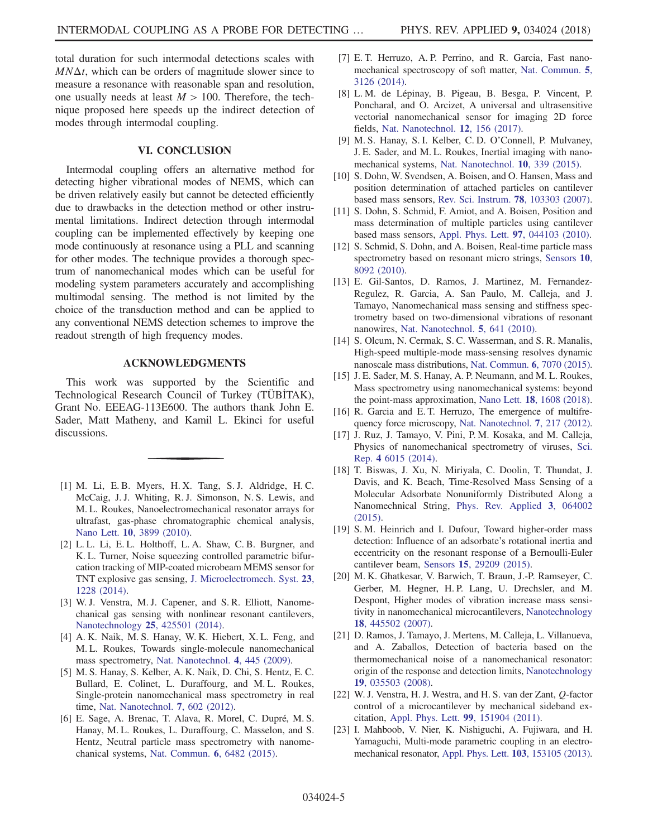total duration for such intermodal detections scales with  $MN\Delta t$ , which can be orders of magnitude slower since to measure a resonance with reasonable span and resolution, one usually needs at least  $M > 100$ . Therefore, the technique proposed here speeds up the indirect detection of modes through intermodal coupling.

# VI. CONCLUSION

Intermodal coupling offers an alternative method for detecting higher vibrational modes of NEMS, which can be driven relatively easily but cannot be detected efficiently due to drawbacks in the detection method or other instrumental limitations. Indirect detection through intermodal coupling can be implemented effectively by keeping one mode continuously at resonance using a PLL and scanning for other modes. The technique provides a thorough spectrum of nanomechanical modes which can be useful for modeling system parameters accurately and accomplishing multimodal sensing. The method is not limited by the choice of the transduction method and can be applied to any conventional NEMS detection schemes to improve the readout strength of high frequency modes.

#### ACKNOWLEDGMENTS

This work was supported by the Scientific and Technological Research Council of Turkey (TÜBİTAK), Grant No. EEEAG-113E600. The authors thank John E. Sader, Matt Matheny, and Kamil L. Ekinci for useful discussions.

- <span id="page-4-0"></span>[1] M. Li, E. B. Myers, H. X. Tang, S. J. Aldridge, H. C. McCaig, J. J. Whiting, R. J. Simonson, N. S. Lewis, and M. L. Roukes, Nanoelectromechanical resonator arrays for ultrafast, gas-phase chromatographic chemical analysis, Nano Lett. 10[, 3899 \(2010\)](https://doi.org/10.1021/nl101586s).
- [2] L. L. Li, E. L. Holthoff, L. A. Shaw, C. B. Burgner, and K. L. Turner, Noise squeezing controlled parametric bifurcation tracking of MIP-coated microbeam MEMS sensor for TNT explosive gas sensing, [J. Microelectromech. Syst.](https://doi.org/10.1109/JMEMS.2014.2310206) 23, [1228 \(2014\)](https://doi.org/10.1109/JMEMS.2014.2310206).
- <span id="page-4-1"></span>[3] W. J. Venstra, M. J. Capener, and S. R. Elliott, Nanomechanical gas sensing with nonlinear resonant cantilevers, Nanotechnology 25[, 425501 \(2014\).](https://doi.org/10.1088/0957-4484/25/42/425501)
- [4] A. K. Naik, M. S. Hanay, W. K. Hiebert, X. L. Feng, and M. L. Roukes, Towards single-molecule nanomechanical mass spectrometry, [Nat. Nanotechnol.](https://doi.org/10.1038/nnano.2009.152) 4, 445 (2009).
- <span id="page-4-2"></span>[5] M. S. Hanay, S. Kelber, A. K. Naik, D. Chi, S. Hentz, E. C. Bullard, E. Colinet, L. Duraffourg, and M. L. Roukes, Single-protein nanomechanical mass spectrometry in real time, [Nat. Nanotechnol.](https://doi.org/10.1038/nnano.2012.119) 7, 602 (2012).
- <span id="page-4-3"></span>[6] E. Sage, A. Brenac, T. Alava, R. Morel, C. Dupré, M. S. Hanay, M. L. Roukes, L. Duraffourg, C. Masselon, and S. Hentz, Neutral particle mass spectrometry with nanomechanical systems, [Nat. Commun.](https://doi.org/10.1038/ncomms7482) 6, 6482 (2015).
- <span id="page-4-4"></span>[7] E. T. Herruzo, A. P. Perrino, and R. Garcia, Fast nanomechanical spectroscopy of soft matter, [Nat. Commun.](https://doi.org/10.1038/ncomms4126) 5, [3126 \(2014\)](https://doi.org/10.1038/ncomms4126).
- [8] L. M. de Lépinay, B. Pigeau, B. Besga, P. Vincent, P. Poncharal, and O. Arcizet, A universal and ultrasensitive vectorial nanomechanical sensor for imaging 2D force fields, [Nat. Nanotechnol.](https://doi.org/10.1038/nnano.2016.193) 12, 156 (2017).
- <span id="page-4-5"></span>[9] M. S. Hanay, S. I. Kelber, C. D. O'Connell, P. Mulvaney, J. E. Sader, and M. L. Roukes, Inertial imaging with nanomechanical systems, [Nat. Nanotechnol.](https://doi.org/10.1038/nnano.2015.32) 10, 339 (2015).
- [10] S. Dohn, W. Svendsen, A. Boisen, and O. Hansen, Mass and position determination of attached particles on cantilever based mass sensors, [Rev. Sci. Instrum.](https://doi.org/10.1063/1.2804074) 78, 103303 (2007).
- [11] S. Dohn, S. Schmid, F. Amiot, and A. Boisen, Position and mass determination of multiple particles using cantilever based mass sensors, [Appl. Phys. Lett.](https://doi.org/10.1063/1.3473761) 97, 044103 (2010).
- [12] S. Schmid, S. Dohn, and A. Boisen, Real-time particle mass spectrometry based on resonant micro strings, [Sensors](https://doi.org/10.3390/s100908092) 10, [8092 \(2010\)](https://doi.org/10.3390/s100908092).
- <span id="page-4-6"></span>[13] E. Gil-Santos, D. Ramos, J. Martinez, M. Fernandez-Regulez, R. Garcia, A. San Paulo, M. Calleja, and J. Tamayo, Nanomechanical mass sensing and stiffness spectrometry based on two-dimensional vibrations of resonant nanowires, [Nat. Nanotechnol.](https://doi.org/10.1038/nnano.2010.151) 5, 641 (2010).
- [14] S. Olcum, N. Cermak, S. C. Wasserman, and S. R. Manalis, High-speed multiple-mode mass-sensing resolves dynamic nanoscale mass distributions, [Nat. Commun.](https://doi.org/10.1038/ncomms8070) 6, 7070 (2015).
- [15] J. E. Sader, M. S. Hanay, A. P. Neumann, and M. L. Roukes, Mass spectrometry using nanomechanical systems: beyond the point-mass approximation, Nano Lett. 18[, 1608 \(2018\).](https://doi.org/10.1021/acs.nanolett.7b04301)
- [16] R. Garcia and E. T. Herruzo, The emergence of multifrequency force microscopy, [Nat. Nanotechnol.](https://doi.org/10.1038/nnano.2012.38) 7, 217 (2012).
- [17] J. Ruz, J. Tamayo, V. Pini, P. M. Kosaka, and M. Calleja, Physics of nanomechanical spectrometry of viruses, [Sci.](https://doi.org/10.1038/srep06051) Rep. 4 [6015 \(2014\)](https://doi.org/10.1038/srep06051).
- [18] T. Biswas, J. Xu, N. Miriyala, C. Doolin, T. Thundat, J. Davis, and K. Beach, Time-Resolved Mass Sensing of a Molecular Adsorbate Nonuniformly Distributed Along a Nanomechnical String, [Phys. Rev. Applied](https://doi.org/10.1103/PhysRevApplied.3.064002) 3, 064002 [\(2015\).](https://doi.org/10.1103/PhysRevApplied.3.064002)
- [19] S. M. Heinrich and I. Dufour, Toward higher-order mass detection: Influence of an adsorbate's rotational inertia and eccentricity on the resonant response of a Bernoulli-Euler cantilever beam, Sensors 15[, 29209 \(2015\).](https://doi.org/10.3390/s151129209)
- <span id="page-4-7"></span>[20] M. K. Ghatkesar, V. Barwich, T. Braun, J.-P. Ramseyer, C. Gerber, M. Hegner, H. P. Lang, U. Drechsler, and M. Despont, Higher modes of vibration increase mass sensitivity in nanomechanical microcantilevers, [Nanotechnology](https://doi.org/10.1088/0957-4484/18/44/445502) 18[, 445502 \(2007\).](https://doi.org/10.1088/0957-4484/18/44/445502)
- [21] D. Ramos, J. Tamayo, J. Mertens, M. Calleja, L. Villanueva, and A. Zaballos, Detection of bacteria based on the thermomechanical noise of a nanomechanical resonator: origin of the response and detection limits, [Nanotechnology](https://doi.org/10.1088/0957-4484/19/03/035503) 19[, 035503 \(2008\).](https://doi.org/10.1088/0957-4484/19/03/035503)
- <span id="page-4-8"></span>[22] W. J. Venstra, H. J. Westra, and H. S. van der Zant, Q-factor control of a microcantilever by mechanical sideband excitation, [Appl. Phys. Lett.](https://doi.org/10.1063/1.3650714) 99, 151904 (2011).
- <span id="page-4-9"></span>[23] I. Mahboob, V. Nier, K. Nishiguchi, A. Fujiwara, and H. Yamaguchi, Multi-mode parametric coupling in an electromechanical resonator, [Appl. Phys. Lett.](https://doi.org/10.1063/1.4824925) 103, 153105 (2013).